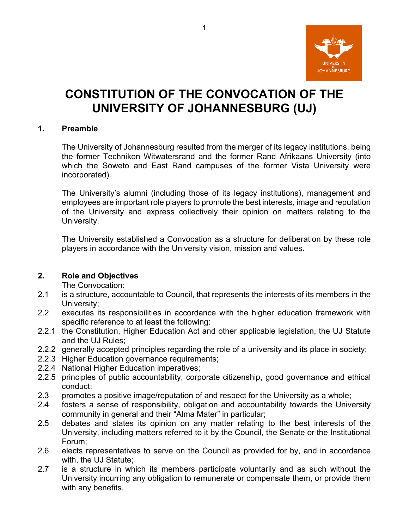

# **CONSTITUTION OF THE CONVOCATION OF THE UNIVERSITY OF JOHANNESBURG (UJ)**

#### **1. Preamble**

The University of Johannesburg resulted from the merger of its legacy institutions, being the former Technikon Witwatersrand and the former Rand Afrikaans University (into which the Soweto and East Rand campuses of the former Vista University were incorporated).

The University's alumni (including those of its legacy institutions), management and employees are important role players to promote the best interests, image and reputation of the University and express collectively their opinion on matters relating to the University.

The University established a Convocation as a structure for deliberation by these role players in accordance with the University vision, mission and values.

#### **2. Role and Objectives**

The Convocation:

- 2.1 is a structure, accountable to Council, that represents the interests of its members in the University;
- 2.2 executes its responsibilities in accordance with the higher education framework with specific reference to at least the following:
- 2.2.1 the Constitution, Higher Education Act and other applicable legislation, the UJ Statute and the UJ Rules;
- 2.2.2 generally accepted principles regarding the role of a university and its place in society;
- 2.2.3 Higher Education governance requirements;
- 2.2.4 National Higher Education imperatives;
- 2.2.5 principles of public accountability, corporate citizenship, good governance and ethical conduct;
- 2.3 promotes a positive image/reputation of and respect for the University as a whole;
- 2.4 fosters a sense of responsibility, obligation and accountability towards the University community in general and their "Alma Mater" in particular;
- 2.5 debates and states its opinion on any matter relating to the best interests of the University, including matters referred to it by the Council, the Senate or the Institutional Forum;
- 2.6 elects representatives to serve on the Council as provided for by, and in accordance with, the UJ Statute;
- 2.7 is a structure in which its members participate voluntarily and as such without the University incurring any obligation to remunerate or compensate them, or provide them with any benefits.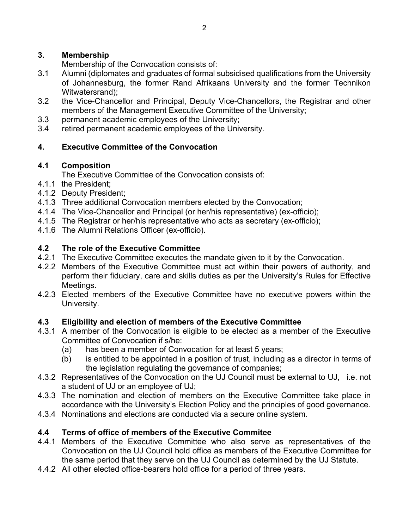#### **3. Membership**

Membership of the Convocation consists of:

- 3.1 Alumni (diplomates and graduates of formal subsidised qualifications from the University of Johannesburg, the former Rand Afrikaans University and the former Technikon Witwatersrand);
- 3.2 the Vice-Chancellor and Principal, Deputy Vice-Chancellors, the Registrar and other members of the Management Executive Committee of the University;
- 3.3 permanent academic employees of the University;
- 3.4 retired permanent academic employees of the University.

# **4. Executive Committee of the Convocation**

#### **4.1 Composition**

The Executive Committee of the Convocation consists of:

- 4.1.1 the President;
- 4.1.2 Deputy President;
- 4.1.3 Three additional Convocation members elected by the Convocation;
- 4.1.4 The Vice-Chancellor and Principal (or her/his representative) (ex-officio);
- 4.1.5 The Registrar or her/his representative who acts as secretary (ex-officio);
- 4.1.6 The Alumni Relations Officer (ex-officio).

#### **4.2 The role of the Executive Committee**

- 4.2.1 The Executive Committee executes the mandate given to it by the Convocation.
- 4.2.2 Members of the Executive Committee must act within their powers of authority, and perform their fiduciary, care and skills duties as per the University's Rules for Effective Meetings.
- 4.2.3 Elected members of the Executive Committee have no executive powers within the University.

# **4.3 Eligibility and election of members of the Executive Committee**

- 4.3.1 A member of the Convocation is eligible to be elected as a member of the Executive Committee of Convocation if s/he:
	- (a) has been a member of Convocation for at least 5 years;
	- (b) is entitled to be appointed in a position of trust, including as a director in terms of the legislation regulating the governance of companies;
- 4.3.2 Representatives of the Convocation on the UJ Council must be external to UJ, i.e. not a student of UJ or an employee of UJ;
- 4.3.3 The nomination and election of members on the Executive Committee take place in accordance with the University's Election Policy and the principles of good governance.
- 4.3.4 Nominations and elections are conducted via a secure online system.

# **4.4 Terms of office of members of the Executive Commitee**

- 4.4.1 Members of the Executive Committee who also serve as representatives of the Convocation on the UJ Council hold office as members of the Executive Committee for the same period that they serve on the UJ Council as determined by the UJ Statute.
- 4.4.2 All other elected office-bearers hold office for a period of three years.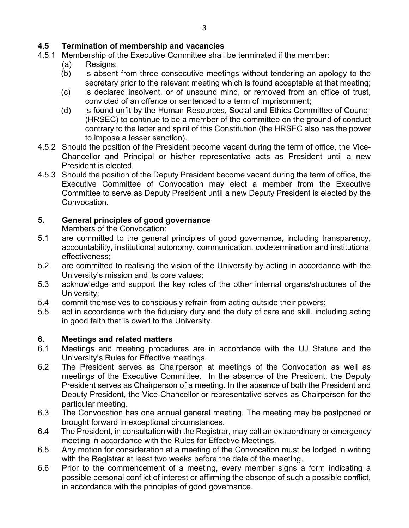#### **4.5 Termination of membership and vacancies**

- 4.5.1 Membership of the Executive Committee shall be terminated if the member:
	- (a) Resigns;
	- (b) is absent from three consecutive meetings without tendering an apology to the secretary prior to the relevant meeting which is found acceptable at that meeting;
	- (c) is declared insolvent, or of unsound mind, or removed from an office of trust, convicted of an offence or sentenced to a term of imprisonment;
	- (d) is found unfit by the Human Resources, Social and Ethics Committee of Council (HRSEC) to continue to be a member of the committee on the ground of conduct contrary to the letter and spirit of this Constitution (the HRSEC also has the power to impose a lesser sanction).
- 4.5.2 Should the position of the President become vacant during the term of office, the Vice-Chancellor and Principal or his/her representative acts as President until a new President is elected.
- 4.5.3 Should the position of the Deputy President become vacant during the term of office, the Executive Committee of Convocation may elect a member from the Executive Committee to serve as Deputy President until a new Deputy President is elected by the Convocation.

#### **5. General principles of good governance**

Members of the Convocation:

- 5.1 are committed to the general principles of good governance, including transparency, accountability, institutional autonomy, communication, codetermination and institutional effectiveness;
- 5.2 are committed to realising the vision of the University by acting in accordance with the University's mission and its core values;
- 5.3 acknowledge and support the key roles of the other internal organs/structures of the University;
- 5.4 commit themselves to consciously refrain from acting outside their powers;
- 5.5 act in accordance with the fiduciary duty and the duty of care and skill, including acting in good faith that is owed to the University.

# **6. Meetings and related matters**

- 6.1 Meetings and meeting procedures are in accordance with the UJ Statute and the University's Rules for Effective meetings.
- 6.2 The President serves as Chairperson at meetings of the Convocation as well as meetings of the Executive Committee. In the absence of the President, the Deputy President serves as Chairperson of a meeting. In the absence of both the President and Deputy President, the Vice-Chancellor or representative serves as Chairperson for the particular meeting.
- 6.3 The Convocation has one annual general meeting. The meeting may be postponed or brought forward in exceptional circumstances.
- 6.4 The President, in consultation with the Registrar, may call an extraordinary or emergency meeting in accordance with the Rules for Effective Meetings.
- 6.5 Any motion for consideration at a meeting of the Convocation must be lodged in writing with the Registrar at least two weeks before the date of the meeting.
- 6.6 Prior to the commencement of a meeting, every member signs a form indicating a possible personal conflict of interest or affirming the absence of such a possible conflict, in accordance with the principles of good governance.